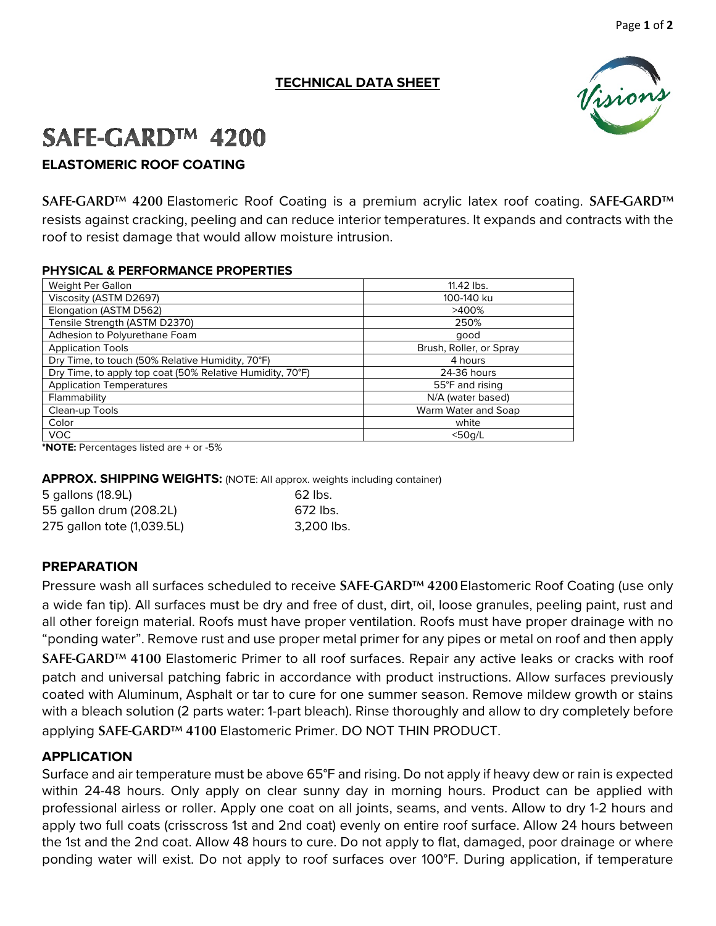## **TECHNICAL DATA SHEET**

# SAFE-GARD<sup>™</sup> 4200 **ELASTOMERIC ROOF COATING**

SAFE-GARD<sup>™</sup> 4200 Elastomeric Roof Coating is a premium acrylic latex roof coating. SAFE-GARD<sup>™</sup> resists against cracking, peeling and can reduce interior temperatures. It expands and contracts with the roof to resist damage that would allow moisture intrusion.

#### **PHYSICAL & PERFORMANCE PROPERTIES**

| Weight Per Gallon                                         | 11.42 lbs.              |
|-----------------------------------------------------------|-------------------------|
| Viscosity (ASTM D2697)                                    | 100-140 ku              |
| Elongation (ASTM D562)                                    | >400%                   |
| Tensile Strength (ASTM D2370)                             | 250%                    |
| Adhesion to Polyurethane Foam                             | good                    |
| <b>Application Tools</b>                                  | Brush, Roller, or Spray |
| Dry Time, to touch (50% Relative Humidity, 70°F)          | 4 hours                 |
| Dry Time, to apply top coat (50% Relative Humidity, 70°F) | 24-36 hours             |
| <b>Application Temperatures</b>                           | 55°F and rising         |
| Flammability                                              | N/A (water based)       |
| Clean-up Tools                                            | Warm Water and Soap     |
| Color                                                     | white                   |
| VOC.                                                      | $<$ 50 $a/L$            |

**\*NOTE:** Percentages listed are + or -5%

**APPROX. SHIPPING WEIGHTS:** (NOTE: All approx. weights including container)

| 5 gallons (18.9L)          | $62$ lbs.  |
|----------------------------|------------|
| 55 gallon drum (208.2L)    | 672 lbs.   |
| 275 gallon tote (1,039.5L) | 3.200 lbs. |

## **PREPARATION**

Pressure wash all surfaces scheduled to receive SAFE-GARD™ 4200 Elastomeric Roof Coating (use only a wide fan tip). All surfaces must be dry and free of dust, dirt, oil, loose granules, peeling paint, rust and all other foreign material. Roofs must have proper ventilation. Roofs must have proper drainage with no "ponding water". Remove rust and use proper metal primer for any pipes or metal on roof and then apply SAFE-GARD™ 4100 Elastomeric Primer to all roof surfaces. Repair any active leaks or cracks with roof patch and universal patching fabric in accordance with product instructions. Allow surfaces previously coated with Aluminum, Asphalt or tar to cure for one summer season. Remove mildew growth or stains with a bleach solution (2 parts water: 1-part bleach). Rinse thoroughly and allow to dry completely before applying SAFE-GARD™ 4100 Elastomeric Primer. DO NOT THIN PRODUCT.

## **APPLICATION**

Surface and air temperature must be above 65°F and rising. Do not apply if heavy dew or rain is expected within 24-48 hours. Only apply on clear sunny day in morning hours. Product can be applied with professional airless or roller. Apply one coat on all joints, seams, and vents. Allow to dry 1-2 hours and apply two full coats (crisscross 1st and 2nd coat) evenly on entire roof surface. Allow 24 hours between the 1st and the 2nd coat. Allow 48 hours to cure. Do not apply to flat, damaged, poor drainage or where ponding water will exist. Do not apply to roof surfaces over 100°F. During application, if temperature